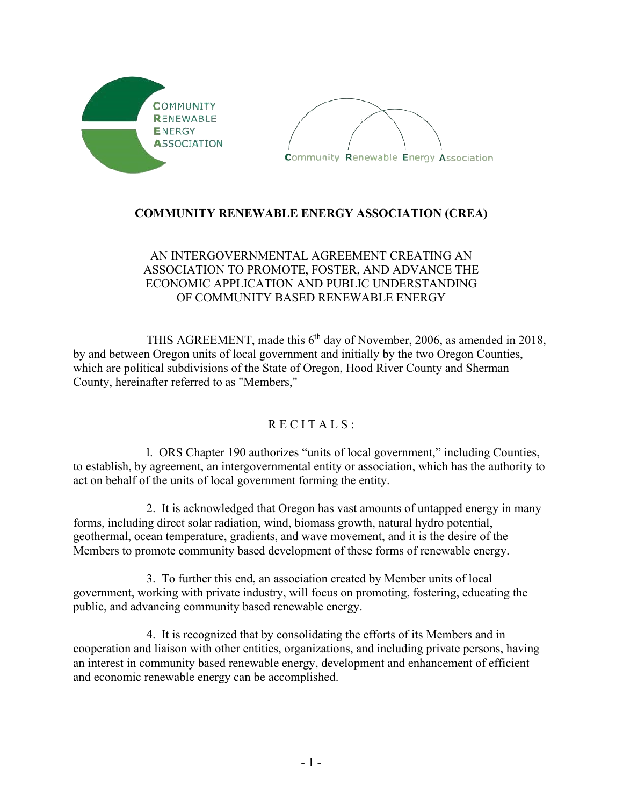



## **COMMUNITY RENEWABLE ENERGY ASSOCIATION (CREA)**

## AN INTERGOVERNMENTAL AGREEMENT CREATING AN ASSOCIATION TO PROMOTE, FOSTER, AND ADVANCE THE ECONOMIC APPLICATION AND PUBLIC UNDERSTANDING OF COMMUNITY BASED RENEWABLE ENERGY

THIS AGREEMENT, made this 6<sup>th</sup> day of November, 2006, as amended in 2018, by and between Oregon units of local government and initially by the two Oregon Counties, which are political subdivisions of the State of Oregon, Hood River County and Sherman County, hereinafter referred to as "Members,"

## $R$  E C I T A L S :

 l. ORS Chapter 190 authorizes "units of local government," including Counties, to establish, by agreement, an intergovernmental entity or association, which has the authority to act on behalf of the units of local government forming the entity.

2. It is acknowledged that Oregon has vast amounts of untapped energy in many forms, including direct solar radiation, wind, biomass growth, natural hydro potential, geothermal, ocean temperature, gradients, and wave movement, and it is the desire of the Members to promote community based development of these forms of renewable energy.

 3. To further this end, an association created by Member units of local government, working with private industry, will focus on promoting, fostering, educating the public, and advancing community based renewable energy.

4. It is recognized that by consolidating the efforts of its Members and in cooperation and liaison with other entities, organizations, and including private persons, having an interest in community based renewable energy, development and enhancement of efficient and economic renewable energy can be accomplished.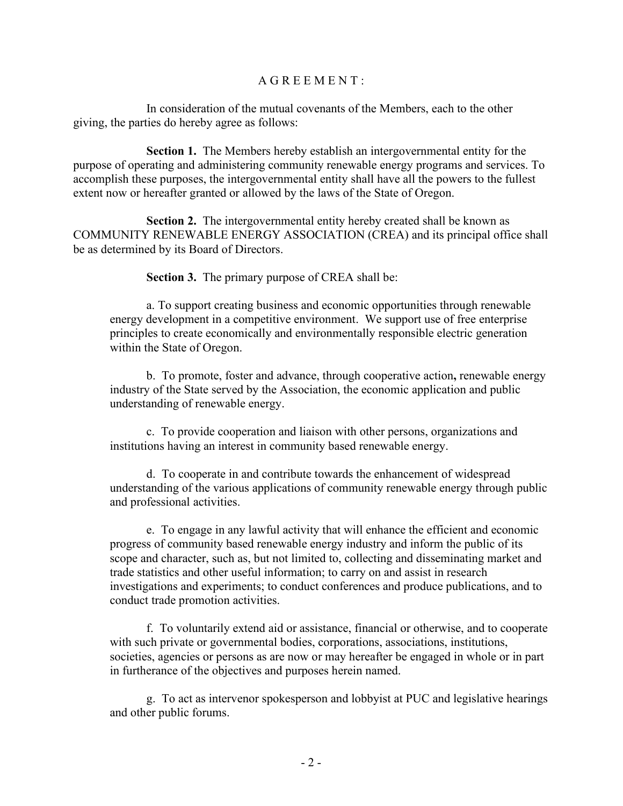## A G R E E M E N T :

In consideration of the mutual covenants of the Members, each to the other giving, the parties do hereby agree as follows:

**Section 1.** The Members hereby establish an intergovernmental entity for the purpose of operating and administering community renewable energy programs and services. To accomplish these purposes, the intergovernmental entity shall have all the powers to the fullest extent now or hereafter granted or allowed by the laws of the State of Oregon.

**Section 2.** The intergovernmental entity hereby created shall be known as COMMUNITY RENEWABLE ENERGY ASSOCIATION (CREA) and its principal office shall be as determined by its Board of Directors.

**Section 3.** The primary purpose of CREA shall be:

a. To support creating business and economic opportunities through renewable energy development in a competitive environment. We support use of free enterprise principles to create economically and environmentally responsible electric generation within the State of Oregon.

b. To promote, foster and advance, through cooperative action**,** renewable energy industry of the State served by the Association, the economic application and public understanding of renewable energy.

c. To provide cooperation and liaison with other persons, organizations and institutions having an interest in community based renewable energy.

d. To cooperate in and contribute towards the enhancement of widespread understanding of the various applications of community renewable energy through public and professional activities.

e. To engage in any lawful activity that will enhance the efficient and economic progress of community based renewable energy industry and inform the public of its scope and character, such as, but not limited to, collecting and disseminating market and trade statistics and other useful information; to carry on and assist in research investigations and experiments; to conduct conferences and produce publications, and to conduct trade promotion activities.

f. To voluntarily extend aid or assistance, financial or otherwise, and to cooperate with such private or governmental bodies, corporations, associations, institutions, societies, agencies or persons as are now or may hereafter be engaged in whole or in part in furtherance of the objectives and purposes herein named.

g. To act as intervenor spokesperson and lobbyist at PUC and legislative hearings and other public forums.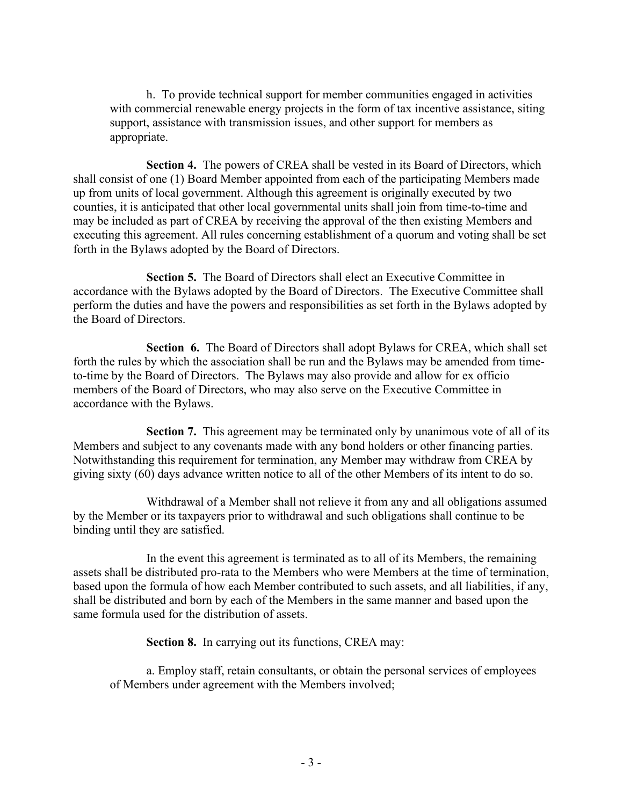h. To provide technical support for member communities engaged in activities with commercial renewable energy projects in the form of tax incentive assistance, siting support, assistance with transmission issues, and other support for members as appropriate.

**Section 4.** The powers of CREA shall be vested in its Board of Directors, which shall consist of one (1) Board Member appointed from each of the participating Members made up from units of local government. Although this agreement is originally executed by two counties, it is anticipated that other local governmental units shall join from time-to-time and may be included as part of CREA by receiving the approval of the then existing Members and executing this agreement. All rules concerning establishment of a quorum and voting shall be set forth in the Bylaws adopted by the Board of Directors.

**Section 5.** The Board of Directors shall elect an Executive Committee in accordance with the Bylaws adopted by the Board of Directors. The Executive Committee shall perform the duties and have the powers and responsibilities as set forth in the Bylaws adopted by the Board of Directors.

**Section 6.** The Board of Directors shall adopt Bylaws for CREA, which shall set forth the rules by which the association shall be run and the Bylaws may be amended from timeto-time by the Board of Directors. The Bylaws may also provide and allow for ex officio members of the Board of Directors, who may also serve on the Executive Committee in accordance with the Bylaws.

**Section 7.** This agreement may be terminated only by unanimous vote of all of its Members and subject to any covenants made with any bond holders or other financing parties. Notwithstanding this requirement for termination, any Member may withdraw from CREA by giving sixty (60) days advance written notice to all of the other Members of its intent to do so.

Withdrawal of a Member shall not relieve it from any and all obligations assumed by the Member or its taxpayers prior to withdrawal and such obligations shall continue to be binding until they are satisfied.

In the event this agreement is terminated as to all of its Members, the remaining assets shall be distributed pro-rata to the Members who were Members at the time of termination, based upon the formula of how each Member contributed to such assets, and all liabilities, if any, shall be distributed and born by each of the Members in the same manner and based upon the same formula used for the distribution of assets.

**Section 8.** In carrying out its functions, CREA may:

a. Employ staff, retain consultants, or obtain the personal services of employees of Members under agreement with the Members involved;